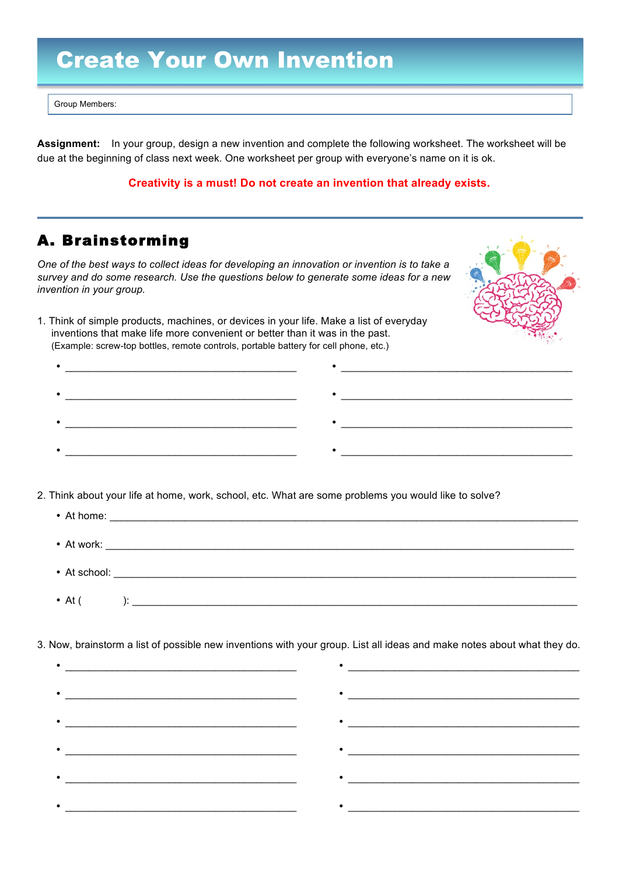# Create Your Own Invention

Group Members:

**Assignment:** In your group, design a new invention and complete the following worksheet. The worksheet will be due at the beginning of class next week. One worksheet per group with everyone's name on it is ok.

#### **Creativity is a must! Do not create an invention that already exists.**

## A. Brainstorming

*One of the best ways to collect ideas for developing an innovation or invention is to take a survey and do some research. Use the questions below to generate some ideas for a new invention in your group.*



•  $\overline{\phantom{a}}$  ,  $\overline{\phantom{a}}$  ,  $\overline{\phantom{a}}$  ,  $\overline{\phantom{a}}$  ,  $\overline{\phantom{a}}$  ,  $\overline{\phantom{a}}$  ,  $\overline{\phantom{a}}$  ,  $\overline{\phantom{a}}$  ,  $\overline{\phantom{a}}$  ,  $\overline{\phantom{a}}$  ,  $\overline{\phantom{a}}$  ,  $\overline{\phantom{a}}$  ,  $\overline{\phantom{a}}$  ,  $\overline{\phantom{a}}$  ,  $\overline{\phantom{a}}$  ,  $\overline{\phantom{a$ 

 $\frac{1}{2}$  ,  $\frac{1}{2}$  ,  $\frac{1}{2}$  ,  $\frac{1}{2}$  ,  $\frac{1}{2}$  ,  $\frac{1}{2}$  ,  $\frac{1}{2}$  ,  $\frac{1}{2}$  ,  $\frac{1}{2}$  ,  $\frac{1}{2}$  ,  $\frac{1}{2}$  ,  $\frac{1}{2}$  ,  $\frac{1}{2}$  ,  $\frac{1}{2}$  ,  $\frac{1}{2}$  ,  $\frac{1}{2}$  ,  $\frac{1}{2}$  ,  $\frac{1}{2}$  ,  $\frac{1$ 

•  $\overline{\phantom{a}}$  ,  $\overline{\phantom{a}}$  ,  $\overline{\phantom{a}}$  ,  $\overline{\phantom{a}}$  ,  $\overline{\phantom{a}}$  ,  $\overline{\phantom{a}}$  ,  $\overline{\phantom{a}}$  ,  $\overline{\phantom{a}}$  ,  $\overline{\phantom{a}}$  ,  $\overline{\phantom{a}}$  ,  $\overline{\phantom{a}}$  ,  $\overline{\phantom{a}}$  ,  $\overline{\phantom{a}}$  ,  $\overline{\phantom{a}}$  ,  $\overline{\phantom{a}}$  ,  $\overline{\phantom{a$ 

1. Think of simple products, machines, or devices in your life. Make a list of everyday inventions that make life more convenient or better than it was in the past. (Example: screw-top bottles, remote controls, portable battery for cell phone, etc.)

•  $\overline{\phantom{a}}$  ,  $\overline{\phantom{a}}$  ,  $\overline{\phantom{a}}$  ,  $\overline{\phantom{a}}$  ,  $\overline{\phantom{a}}$  ,  $\overline{\phantom{a}}$  ,  $\overline{\phantom{a}}$  ,  $\overline{\phantom{a}}$  ,  $\overline{\phantom{a}}$  ,  $\overline{\phantom{a}}$  ,  $\overline{\phantom{a}}$  ,  $\overline{\phantom{a}}$  ,  $\overline{\phantom{a}}$  ,  $\overline{\phantom{a}}$  ,  $\overline{\phantom{a}}$  ,  $\overline{\phantom{a$ 

 $\frac{1}{\sqrt{2}}$  . The contract of the contract of the contract of the contract of the contract of the contract of the contract of the contract of the contract of the contract of the contract of the contract of the contract o

•  $\overline{\phantom{a}}$ 

- 2. Think about your life at home, work, school, etc. What are some problems you would like to solve?
	- At home: \_\_\_\_\_\_\_\_\_\_\_\_\_\_\_\_\_\_\_\_\_\_\_\_\_\_\_\_\_\_\_\_\_\_\_\_\_\_\_\_\_\_\_\_\_\_\_\_\_\_\_\_\_\_\_\_\_\_\_\_\_\_\_\_\_\_\_\_\_\_\_\_\_\_\_\_\_\_\_\_\_ • At work:  $\blacksquare$ • At school: • At  $($  ):

3. Now, brainstorm a list of possible new inventions with your group. List all ideas and make notes about what they do.

| $\bullet \underbrace{\hspace{2.5cm}}$ | $\bullet$ |
|---------------------------------------|-----------|
|                                       |           |
|                                       |           |
|                                       |           |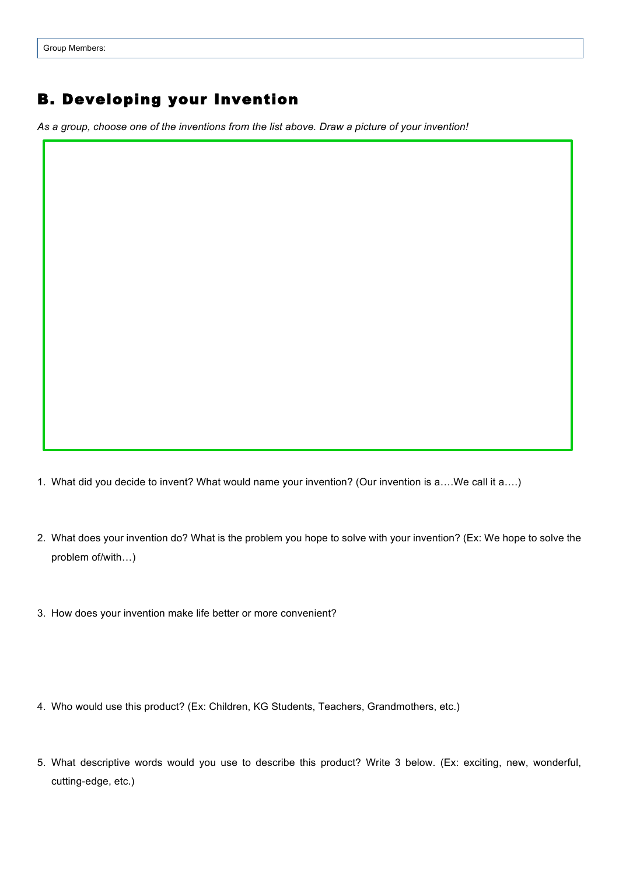## B. Developing your Invention

*As a group, choose one of the inventions from the list above. Draw a picture of your invention!*

1. What did you decide to invent? What would name your invention? (Our invention is a….We call it a….)

- 2. What does your invention do? What is the problem you hope to solve with your invention? (Ex: We hope to solve the problem of/with…)
- 3. How does your invention make life better or more convenient?
- 4. Who would use this product? (Ex: Children, KG Students, Teachers, Grandmothers, etc.)
- 5. What descriptive words would you use to describe this product? Write 3 below. (Ex: exciting, new, wonderful, cutting-edge, etc.)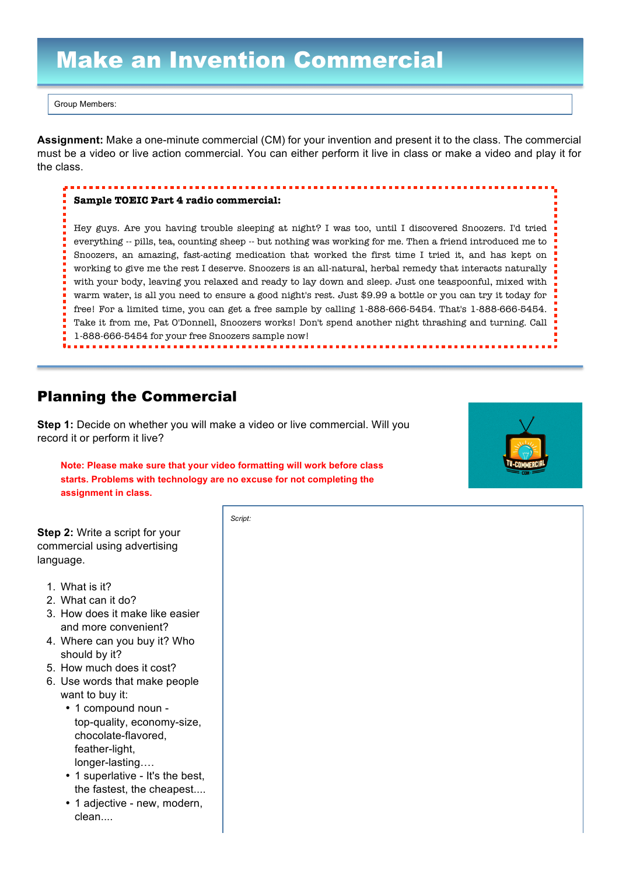# Make an Invention Commercial

Group Members:

**Assignment:** Make a one-minute commercial (CM) for your invention and present it to the class. The commercial must be a video or live action commercial. You can either perform it live in class or make a video and play it for the class.

#### **Sample TOEIC Part 4 radio commercial:**

Hey guys. Are you having trouble sleeping at night? I was too, until I discovered Snoozers. I'd tried everything -- pills, tea, counting sheep -- but nothing was working for me. Then a friend introduced me to Snoozers, an amazing, fast-acting medication that worked the first time I tried it, and has kept on working to give me the rest I deserve. Snoozers is an all-natural, herbal remedy that interacts naturally with your body, leaving you relaxed and ready to lay down and sleep. Just one teaspoonful, mixed with warm water, is all you need to ensure a good night's rest. Just \$9.99 a bottle or you can try it today for free! For a limited time, you can get a free sample by calling 1-888-666-5454. That's 1-888-666-5454. Take it from me, Pat O'Donnell, Snoozers works! Don't spend another night thrashing and turning. Call 1-888-666-5454 for your free Snoozers sample now!

### Planning the Commercial

**Step 1:** Decide on whether you will make a video or live commercial. Will you record it or perform it live?

**Note: Please make sure that your video formatting will work before class starts. Problems with technology are no excuse for not completing the assignment in class.**



**Step 2:** Write a script for your commercial using advertising language.

- 1. What is it?
- 2. What can it do?
- 3. How does it make like easier and more convenient?
- 4. Where can you buy it? Who should by it?
- 5. How much does it cost?
- 6. Use words that make people want to buy it:
	- 1 compound noun top-quality, economy-size, chocolate-flavored, feather-light, longer-lasting….
	- 1 superlative It's the best, the fastest, the cheapest....
	- 1 adjective new, modern, clean....

*Script:*